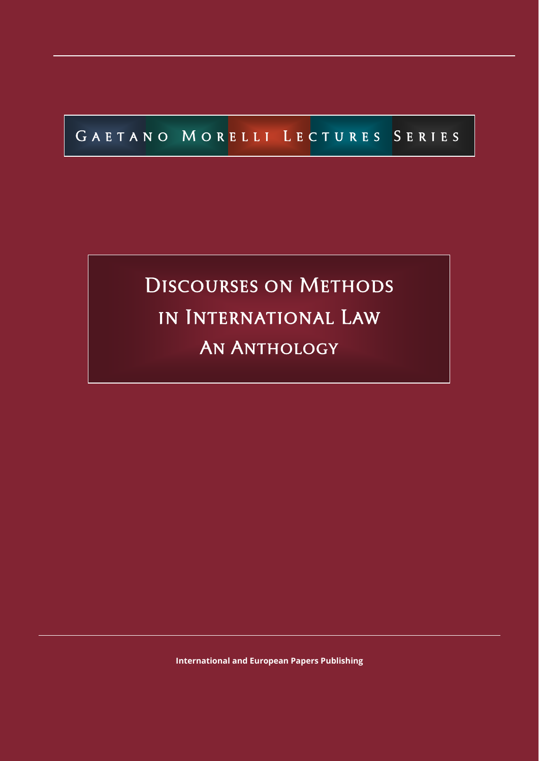# [Discourses on Methods](http://crde.unitelmasapienza.it/en/publications/gmls-2020)  in International Law AN ANTHOLOGY

**[International and European Papers Publishing](http://crde.unitelmasapienza.it/en/publications/gmls)**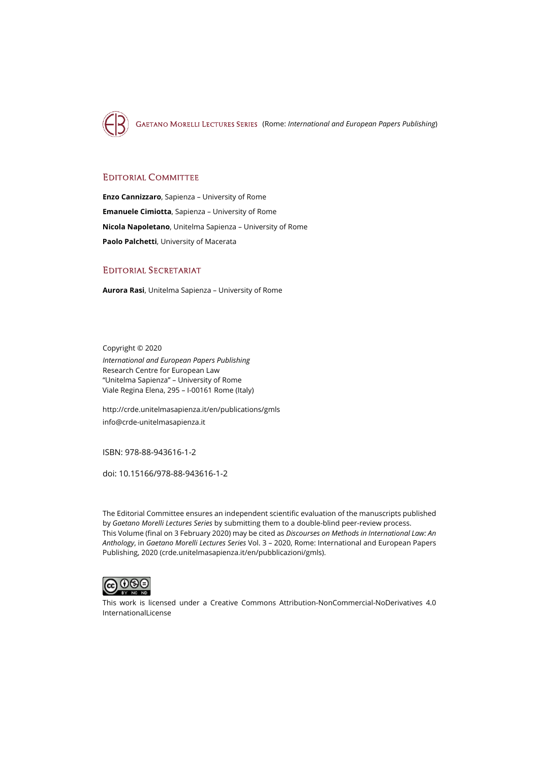

[GAETANO MORELLI LECTURES SERIES](http://crde.unitelmasapienza.it/en/publications/gmls) (Rome: *International and European Papers Publishing*)

#### EDITORIAL COMMITTEE

**Enzo Cannizzaro**, Sapienza – University of Rome **Emanuele Cimiotta**, Sapienza – University of Rome **Nicola Napoletano**, Unitelma Sapienza – University of Rome **Paolo Palchetti**, University of Macerata

#### EDITORIAL SECRETARIAT

**Aurora Rasi**, Unitelma Sapienza – University of Rome

Copyright © 2020 *International and European Papers Publishing* Research Centre for European Law "Unitelma Sapienza" – University of Rome Viale Regina Elena, 295 – I-00161 Rome (Italy)

<http://crde.unitelmasapienza.it/en/publications/gmls> [info@crde-unitelmasapienza.it](mailto:info@crde-unitelmasapienza.it)

ISBN: 978-88-943616-1-2

doi[: 10.15166/978-88-943616-1-2](https://search.datacite.org/works/10.15166/978-88-943616-1-2)

The Editorial Committee ensures an independent scientific evaluation of the manuscripts published by *[Gaetano](http://www.europeanpapers.eu/) Morelli Lectures Series* by submitting them to a double-blind peer-review process. This Volume (final on 3 February 2020) may be cited as *Discourses on Methods in International Law: An Anthology*, in *Gaetano Morelli Lectures Series* Vol. 3 – 2020, Rome: International and European Papers Publishing, 2020 [\(crde.unitelmasapienza.it/en/pubblicazioni/gmls\)](http://crde.unitelmasapienza.it/en/publications/gmls).



This work is licensed under a [Creative Commons Attribution-NonCommercial-NoDerivatives 4.0](http://creativecommons.org/licenses/by-nc-nd/4.0/) [InternationalLicense](http://creativecommons.org/licenses/by-nc-nd/4.0/)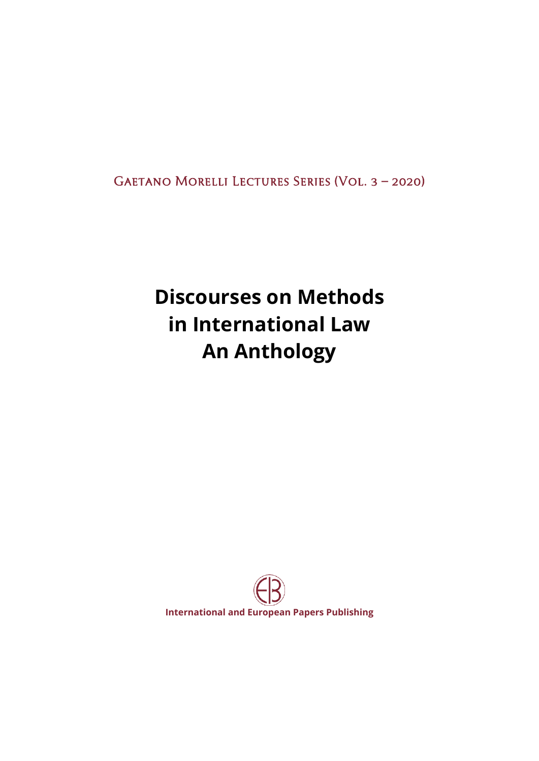[Gaetano Morelli Lectures Series \(Vol. 3 – 2020\)](http://crde.unitelmasapienza.it/it/pubblicazioni/gmls) 

## **Discourses on Methods in International Law An Anthology**

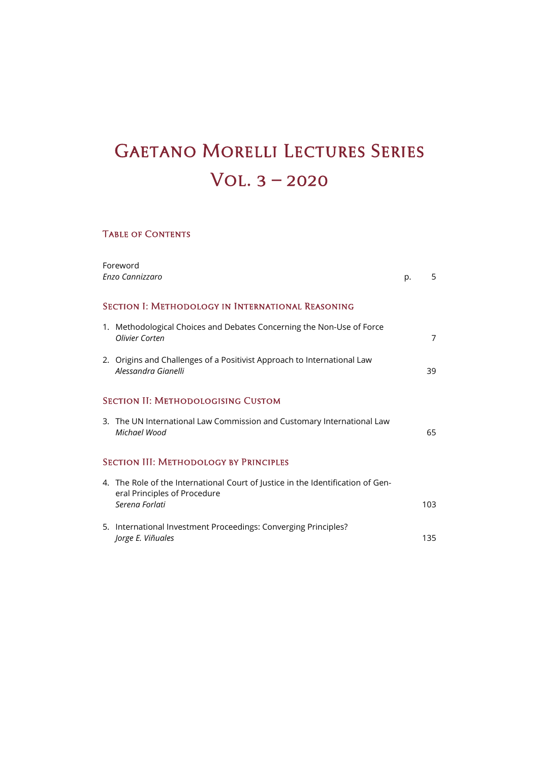### **GAETANO MORELLI LECTURES SERIES** [Vol. 3 – 2020](http://crde.unitelmasapienza.it/it/pubblicazioni/gmls-2020)

### Table of Contents

| Foreword<br>Enzo Cannizzaro                       |                                                                                                                                   | p. | 5              |
|---------------------------------------------------|-----------------------------------------------------------------------------------------------------------------------------------|----|----------------|
| SECTION I: METHODOLOGY IN INTERNATIONAL REASONING |                                                                                                                                   |    |                |
|                                                   | 1. Methodological Choices and Debates Concerning the Non-Use of Force<br>Olivier Corten                                           |    | $\overline{7}$ |
|                                                   | 2. Origins and Challenges of a Positivist Approach to International Law<br>Alessandra Gianelli                                    |    | 39             |
| <b>SECTION II: METHODOLOGISING CUSTOM</b>         |                                                                                                                                   |    |                |
|                                                   | 3. The UN International Law Commission and Customary International Law<br>Michael Wood                                            |    | 65             |
| <b>SECTION III: METHODOLOGY BY PRINCIPLES</b>     |                                                                                                                                   |    |                |
|                                                   | 4. The Role of the International Court of Justice in the Identification of Gen-<br>eral Principles of Procedure<br>Serena Forlati |    | 103            |
|                                                   | 5. International Investment Proceedings: Converging Principles?<br>Jorge E. Viñuales                                              |    | 135            |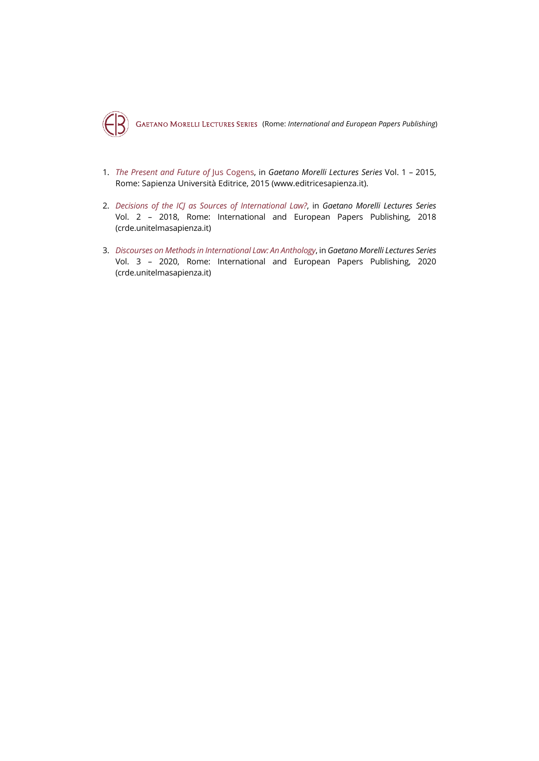

- 1. *[The Present and Future of](http://crde.unitelmasapienza.it/en/publications/gmls-2015)* Jus Cogens, in *[Gaetano Morelli Lectures Series](http://crde.unitelmasapienza.it/en/publications/gmls)* Vol. 1 2015, Rome: Sapienza Università Editrice, 2015 (www.editricesapienza.it).
- 2. *[Decisions of the ICJ as Sources of International Law?](http://crde.unitelmasapienza.it/en/publications/gmls-2018)*, in *[Gaetano Morelli Lectures Series](http://crde.unitelmasapienza.it/en/publications/gmls)* Vol. 2 – 2018, Rome: International and European Papers Publishing, 2018 [\(crde.unitelmasapienza.it\)](http://crde.unitelmasapienza.it/en/publications/gmls)
- 3. *[Discourses on Methods in International Law: An Anthology](http://crde.unitelmasapienza.it/en/publications/gmls-2020)*, in *[Gaetano Morelli Lectures Series](http://crde.unitelmasapienza.it/en/publications/gmls)* Vol. 3 – 2020, Rome: International and European Papers Publishing, 2020 [\(crde.unitelmasapienza.it\)](http://crde.unitelmasapienza.it/en/publications/gmls)